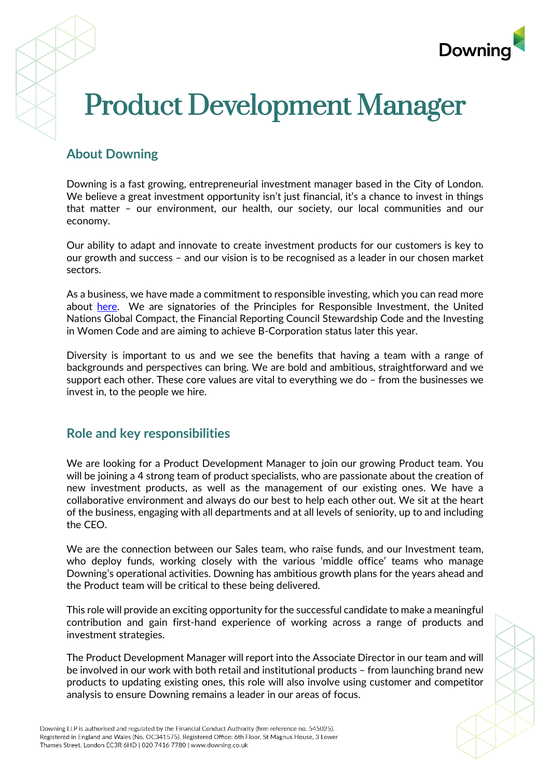

# Product Development Manager

## **About Downing**

Downing is a fast growing, entrepreneurial investment manager based in the City of London. We believe a great investment opportunity isn't just financial, it's a chance to invest in things that matter – our environment, our health, our society, our local communities and our economy.

Our ability to adapt and innovate to create investment products for our customers is key to our growth and success – and our vision is to be recognised as a leader in our chosen market sectors.

As a business, we have made a commitment to responsible investing, which you can read more about [here.](https://www.downing.co.uk/responsible-investing) We are signatories of the Principles for Responsible Investment, the United Nations Global Compact, the Financial Reporting Council Stewardship Code and the Investing in Women Code and are aiming to achieve B-Corporation status later this year.

Diversity is important to us and we see the benefits that having a team with a range of backgrounds and perspectives can bring. We are bold and ambitious, straightforward and we support each other. These core values are vital to everything we do – from the businesses we invest in, to the people we hire.

### **Role and key responsibilities**

We are looking for a Product Development Manager to join our growing Product team. You will be joining a 4 strong team of product specialists, who are passionate about the creation of new investment products, as well as the management of our existing ones. We have a collaborative environment and always do our best to help each other out. We sit at the heart of the business, engaging with all departments and at all levels of seniority, up to and including the CEO.

We are the connection between our Sales team, who raise funds, and our Investment team, who deploy funds, working closely with the various 'middle office' teams who manage Downing's operational activities. Downing has ambitious growth plans for the years ahead and the Product team will be critical to these being delivered.

This role will provide an exciting opportunity for the successful candidate to make a meaningful contribution and gain first-hand experience of working across a range of products and investment strategies.

The Product Development Manager will report into the Associate Director in our team and will be involved in our work with both retail and institutional products – from launching brand new products to updating existing ones, this role will also involve using customer and competitor analysis to ensure Downing remains a leader in our areas of focus.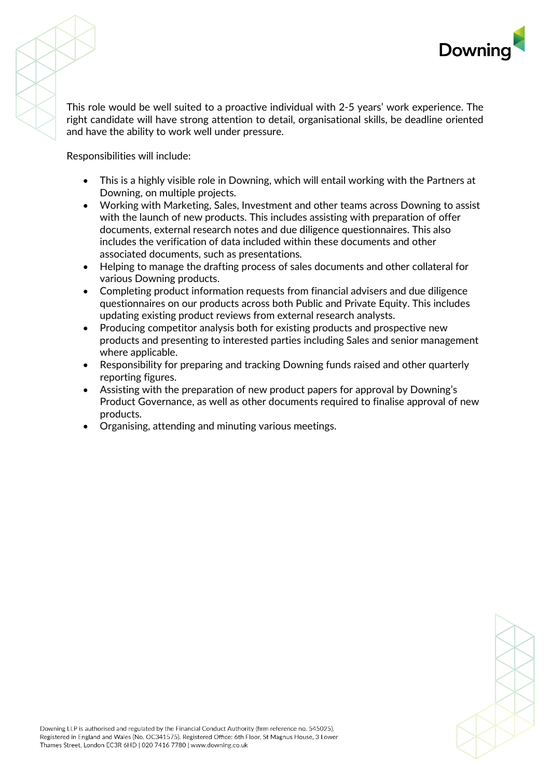

This role would be well suited to a proactive individual with 2-5 years' work experience. The right candidate will have strong attention to detail, organisational skills, be deadline oriented and have the ability to work well under pressure.

Responsibilities will include:

- This is a highly visible role in Downing, which will entail working with the Partners at Downing, on multiple projects.
- Working with Marketing, Sales, Investment and other teams across Downing to assist with the launch of new products. This includes assisting with preparation of offer documents, external research notes and due diligence questionnaires. This also includes the verification of data included within these documents and other associated documents, such as presentations.
- Helping to manage the drafting process of sales documents and other collateral for various Downing products.
- Completing product information requests from financial advisers and due diligence questionnaires on our products across both Public and Private Equity. This includes updating existing product reviews from external research analysts.
- Producing competitor analysis both for existing products and prospective new products and presenting to interested parties including Sales and senior management where applicable.
- Responsibility for preparing and tracking Downing funds raised and other quarterly reporting figures.
- Assisting with the preparation of new product papers for approval by Downing's Product Governance, as well as other documents required to finalise approval of new products.
- Organising, attending and minuting various meetings.

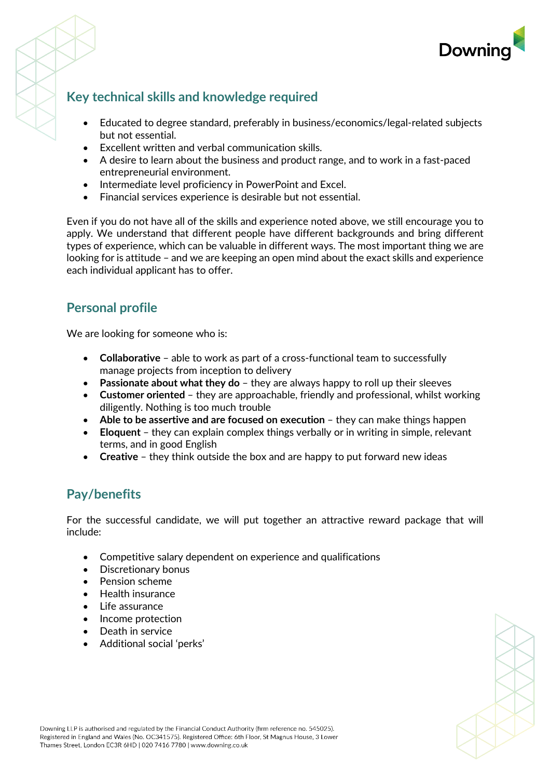

# **Key technical skills and knowledge required**

- Educated to degree standard, preferably in business/economics/legal-related subjects but not essential.
- Excellent written and verbal communication skills.
- A desire to learn about the business and product range, and to work in a fast-paced entrepreneurial environment.
- Intermediate level proficiency in PowerPoint and Excel.
- Financial services experience is desirable but not essential.

Even if you do not have all of the skills and experience noted above, we still encourage you to apply. We understand that different people have different backgrounds and bring different types of experience, which can be valuable in different ways. The most important thing we are looking for is attitude – and we are keeping an open mind about the exact skills and experience each individual applicant has to offer.

## **Personal profile**

We are looking for someone who is:

- **Collaborative** able to work as part of a cross-functional team to successfully manage projects from inception to delivery
- **Passionate about what they do** they are always happy to roll up their sleeves
- **Customer oriented** they are approachable, friendly and professional, whilst working diligently. Nothing is too much trouble
- **Able to be assertive and are focused on execution** they can make things happen
- **Eloquent** they can explain complex things verbally or in writing in simple, relevant terms, and in good English
- **Creative** they think outside the box and are happy to put forward new ideas

### **Pay/benefits**

For the successful candidate, we will put together an attractive reward package that will include:

- Competitive salary dependent on experience and qualifications
- Discretionary bonus
- Pension scheme
- Health insurance
- Life assurance
- Income protection
- Death in service
- Additional social 'perks'